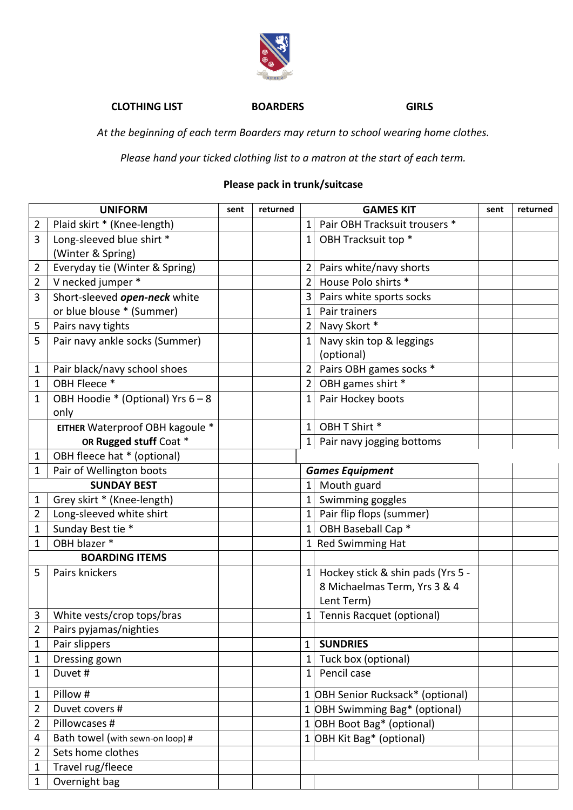

## **CLOTHING LIST BOARDERS GIRLS**

*At the beginning of each term Boarders may return to school wearing home clothes.*

*Please hand your ticked clothing list to a matron at the start of each term.*

## **Please pack in trunk/suitcase**

| <b>UNIFORM</b>        |                                   | sent | returned | <b>GAMES KIT</b> |                                                                   | sent | returned |
|-----------------------|-----------------------------------|------|----------|------------------|-------------------------------------------------------------------|------|----------|
| $\overline{2}$        | Plaid skirt * (Knee-length)       |      |          | 1                | Pair OBH Tracksuit trousers *                                     |      |          |
| 3                     | Long-sleeved blue shirt *         |      |          | 1                | OBH Tracksuit top *                                               |      |          |
|                       | (Winter & Spring)                 |      |          |                  |                                                                   |      |          |
| $\overline{2}$        | Everyday tie (Winter & Spring)    |      |          | 2                | Pairs white/navy shorts                                           |      |          |
| $\overline{2}$        | V necked jumper *                 |      |          | $\overline{2}$   | House Polo shirts *                                               |      |          |
| 3                     | Short-sleeved open-neck white     |      |          | 3                | Pairs white sports socks                                          |      |          |
|                       | or blue blouse * (Summer)         |      |          | 1                | Pair trainers                                                     |      |          |
| 5                     | Pairs navy tights                 |      |          | 2                | Navy Skort *                                                      |      |          |
| 5                     | Pair navy ankle socks (Summer)    |      |          | 1                | Navy skin top & leggings<br>(optional)                            |      |          |
| $\mathbf{1}$          | Pair black/navy school shoes      |      |          | $\overline{2}$   | Pairs OBH games socks *                                           |      |          |
| $\mathbf{1}$          | OBH Fleece *                      |      |          | 2                | OBH games shirt *                                                 |      |          |
| $\mathbf{1}$          | OBH Hoodie * (Optional) Yrs 6 - 8 |      |          | 1                | Pair Hockey boots                                                 |      |          |
|                       | only                              |      |          |                  |                                                                   |      |          |
|                       | EITHER Waterproof OBH kagoule *   |      |          | 1                | OBH T Shirt *                                                     |      |          |
|                       | OR Rugged stuff Coat *            |      |          | $\mathbf{1}$     | Pair navy jogging bottoms                                         |      |          |
| $\mathbf{1}$          | OBH fleece hat * (optional)       |      |          |                  |                                                                   |      |          |
| $\mathbf{1}$          | Pair of Wellington boots          |      |          |                  | <b>Games Equipment</b>                                            |      |          |
| <b>SUNDAY BEST</b>    |                                   |      |          | 1                | Mouth guard                                                       |      |          |
| $\mathbf{1}$          | Grey skirt * (Knee-length)        |      |          | $\mathbf{1}$     | Swimming goggles                                                  |      |          |
| $\overline{2}$        | Long-sleeved white shirt          |      |          | 1                | Pair flip flops (summer)                                          |      |          |
| $\mathbf{1}$          | Sunday Best tie *                 |      |          | 1                | OBH Baseball Cap <sup>*</sup>                                     |      |          |
| $\mathbf 1$           | OBH blazer *                      |      |          |                  | 1 Red Swimming Hat                                                |      |          |
| <b>BOARDING ITEMS</b> |                                   |      |          |                  |                                                                   |      |          |
| 5                     | Pairs knickers                    |      |          |                  | Hockey stick & shin pads (Yrs 5 -<br>8 Michaelmas Term, Yrs 3 & 4 |      |          |
|                       |                                   |      |          |                  | Lent Term)                                                        |      |          |
| 3                     | White vests/crop tops/bras        |      |          | 1                | <b>Tennis Racquet (optional)</b>                                  |      |          |
| $\overline{2}$        | Pairs pyjamas/nighties            |      |          |                  |                                                                   |      |          |
| $\mathbf{1}$          | Pair slippers                     |      |          | 1                | <b>SUNDRIES</b>                                                   |      |          |
| $\mathbf{1}$          | Dressing gown                     |      |          | 1                | Tuck box (optional)                                               |      |          |
| $\mathbf{1}$          | Duvet #                           |      |          | 1                | Pencil case                                                       |      |          |
| $\mathbf{1}$          | Pillow #                          |      |          |                  | 1 OBH Senior Rucksack* (optional)                                 |      |          |
| $\overline{2}$        | Duvet covers #                    |      |          |                  | 1 OBH Swimming Bag* (optional)                                    |      |          |
| $\overline{2}$        | Pillowcases #                     |      |          |                  | 1 OBH Boot Bag* (optional)                                        |      |          |
| 4                     | Bath towel (with sewn-on loop) #  |      |          |                  | 1 OBH Kit Bag* (optional)                                         |      |          |
| $\overline{2}$        | Sets home clothes                 |      |          |                  |                                                                   |      |          |
| $\mathbf{1}$          | Travel rug/fleece                 |      |          |                  |                                                                   |      |          |
| $\mathbf{1}$          | Overnight bag                     |      |          |                  |                                                                   |      |          |